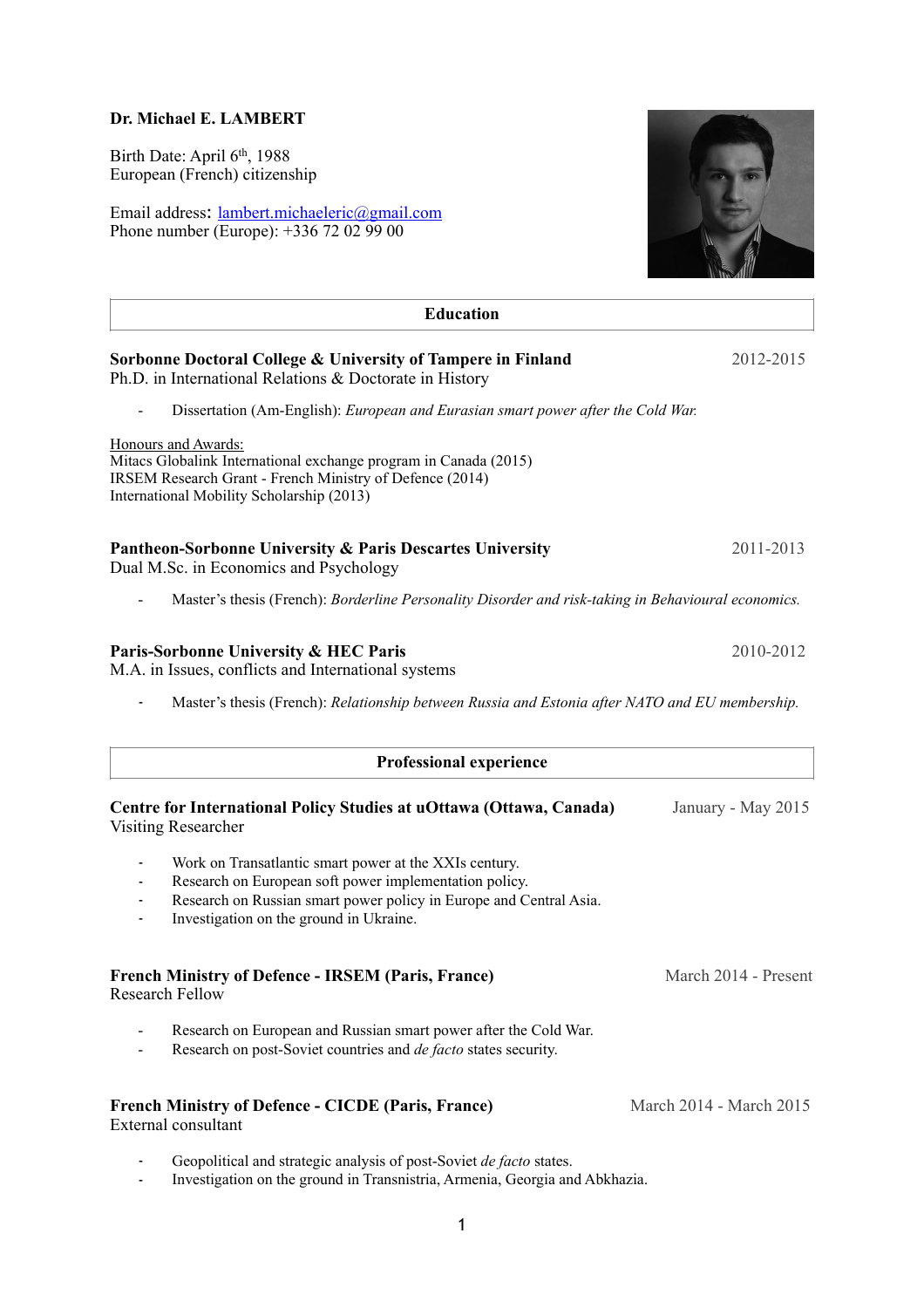# **Dr. Michael E. LAMBERT**

Birth Date: April 6th, 1988 European (French) citizenship

Email address: [lambert.michaeleric@gmail.com](mailto:lambert.michaeleric@gmail.com) Phone number (Europe): +336 72 02 99 00



| <b>Education</b>                                                                                                                                                                                                                  |                         |
|-----------------------------------------------------------------------------------------------------------------------------------------------------------------------------------------------------------------------------------|-------------------------|
| Sorbonne Doctoral College & University of Tampere in Finland<br>Ph.D. in International Relations & Doctorate in History                                                                                                           | 2012-2015               |
| Dissertation (Am-English): European and Eurasian smart power after the Cold War.                                                                                                                                                  |                         |
| Honours and Awards:<br>Mitacs Globalink International exchange program in Canada (2015)<br><b>IRSEM Research Grant - French Ministry of Defence (2014)</b><br>International Mobility Scholarship (2013)                           |                         |
| Pantheon-Sorbonne University & Paris Descartes University<br>Dual M.Sc. in Economics and Psychology                                                                                                                               | 2011-2013               |
| Master's thesis (French): Borderline Personality Disorder and risk-taking in Behavioural economics.                                                                                                                               |                         |
| Paris-Sorbonne University & HEC Paris<br>M.A. in Issues, conflicts and International systems                                                                                                                                      | 2010-2012               |
| Master's thesis (French): Relationship between Russia and Estonia after NATO and EU membership.                                                                                                                                   |                         |
| <b>Professional experience</b>                                                                                                                                                                                                    |                         |
| Centre for International Policy Studies at uOttawa (Ottawa, Canada)<br><b>Visiting Researcher</b>                                                                                                                                 | January - May 2015      |
| Work on Transatlantic smart power at the XXIs century.<br>Research on European soft power implementation policy.<br>Research on Russian smart power policy in Europe and Central Asia.<br>Investigation on the ground in Ukraine. |                         |
| <b>French Ministry of Defence - IRSEM (Paris, France)</b><br>Research Fellow                                                                                                                                                      | March 2014 - Present    |
| Research on European and Russian smart power after the Cold War.<br>Research on post-Soviet countries and <i>de facto</i> states security.                                                                                        |                         |
| <b>French Ministry of Defence - CICDE (Paris, France)</b><br><b>External consultant</b>                                                                                                                                           | March 2014 - March 2015 |

- Geopolitical and strategic analysis of post-Soviet *de facto* states.
- Investigation on the ground in Transnistria, Armenia, Georgia and Abkhazia.